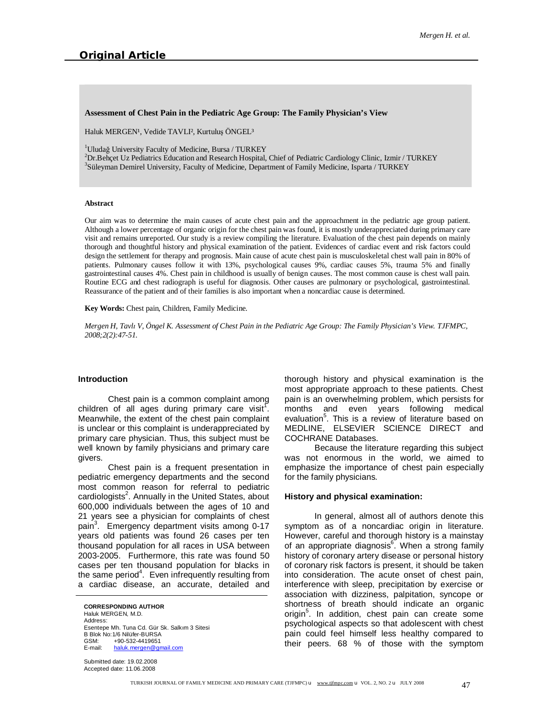#### **Assessment of Chest Pain in the Pediatric Age Group: The Family Physician's View**

Haluk MERGEN<sup>1</sup>, Vedide TAVLI<sup>2</sup>, Kurtuluş ÖNGEL<sup>3</sup>

<sup>1</sup>Uludağ University Faculty of Medicine, Bursa / TURKEY

<sup>2</sup>Dr.Behçet Uz Pediatrics Education and Research Hospital, Chief of Pediatric Cardiology Clinic, Izmir / TURKEY <sup>3</sup>Süleyman Demirel University, Faculty of Medicine, Department of Family Medicine, Isparta / TURKEY

#### **Abstract**

Our aim was to determine the main causes of acute chest pain and the approachment in the pediatric age group patient. Although a lower percentage of organic origin for the chest pain was found, it is mostly underappreciated during primary care visit and remains unreported. Our study is a review compiling the literature. Evaluation of the chest pain depends on mainly thorough and thoughtful history and physical examination of the patient. Evidences of cardiac event and risk factors could design the settlement for therapy and prognosis. Main cause of acute chest pain is musculoskeletal chest wall pain in 80% of patients. Pulmonary causes follow it with 13%, psychological causes 9%, cardiac causes 5%, trauma 5% and finally gastrointestinal causes 4%. Chest pain in childhood is usually of benign causes. The most common cause is chest wall pain. Routine ECG and chest radiograph is useful for diagnosis. Other causes are pulmonary or psychological, gastrointestinal. Reassurance of the patient and of their families is also important when a noncardiac cause is determined.

**Key Words:** Chest pain, Children, Family Medicine.

*Mergen H, Tavlı V, Öngel K. Assessment of Chest Pain in the Pediatric Age Group: The Family Physician's View. TJFMPC, 2008;2(2):47-51.* 

#### **Introduction**

Chest pain is a common complaint among children of all ages during primary care visit<sup>1</sup>. Meanwhile, the extent of the chest pain complaint is unclear or this complaint is underappreciated by primary care physician. Thus, this subject must be well known by family physicians and primary care givers.

Chest pain is a frequent presentation in pediatric emergency departments and the second most common reason for referral to pediatric cardiologists<sup>2</sup>. Annually in the United States, about 600,000 individuals between the ages of 10 and 21 years see a physician for complaints of chest pain<sup>3</sup>. Emergency department visits among 0-17 years old patients was found 26 cases per ten thousand population for all races in USA between 2003-2005. Furthermore, this rate was found 50 cases per ten thousand population for blacks in the same period<sup>4</sup>. Even infrequently resulting from a cardiac disease, an accurate, detailed and

**CORRESPONDING AUTHOR**  Haluk MERGEN, M.D. Address: Esentepe Mh. Tuna Cd. Gür Sk. Salkım 3 Sitesi B Blok No:1/6 Nilüfer-BURSA<br>GSM: +90-532-4419651 GSM: +90-532-4419651 E-mail: [haluk.mergen@gmail.com](mailto:haluk.mergen@gmail.com)

Submitted date: 19.02.2008 Accepted date: 11.06.2008

thorough history and physical examination is the most appropriate approach to these patients. Chest pain is an overwhelming problem, which persists for months and even years following medical evaluation<sup>5</sup>. This is a review of literature based on MEDLINE, ELSEVIER SCIENCE DIRECT and COCHRANE Databases.

Because the literature regarding this subject was not enormous in the world, we aimed to emphasize the importance of chest pain especially for the family physicians.

#### **History and physical examination:**

In general, almost all of authors denote this symptom as of a noncardiac origin in literature. However, careful and thorough history is a mainstay of an appropriate diagnosis<sup>6</sup>. When a strong family history of coronary artery disease or personal history of coronary risk factors is present, it should be taken into consideration. The acute onset of chest pain, interference with sleep, precipitation by exercise or association with dizziness, palpitation, syncope or shortness of breath should indicate an organic origin<sup>5</sup>. In addition, chest pain can create some psychological aspects so that adolescent with chest pain could feel himself less healthy compared to their peers. 68 % of those with the symptom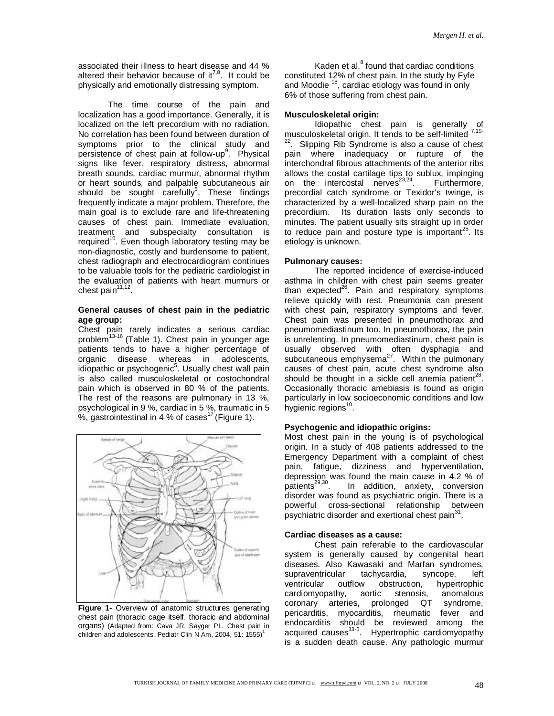associated their illness to heart disease and 44 % altered their behavior because of it<sup>7,8</sup>. It could be physically and emotionally distressing symptom.

The time course of the pain and localization has a good importance. Generally, it is localized on the left precordium with no radiation. No correlation has been found between duration of symptoms prior to the clinical study and persistence of chest pain at follow-up<sup>9</sup>. Physical signs like fever, respiratory distress, abnormal breath sounds, cardiac murmur, abnormal rhythm or heart sounds, and palpable subcutaneous air should be sought carefully $5$ . These findings frequently indicate a major problem. Therefore, the main goal is to exclude rare and life-threatening causes of chest pain. Immediate evaluation, treatment and subspecialty consultation is required<sup>10</sup>. Even though laboratory testing may be non-diagnostic, costly and burdensome to patient, chest radiograph and electrocardiogram continues to be valuable tools for the pediatric cardiologist in the evaluation of patients with heart murmurs or chest pain $^{11,12}$ .

## **General causes of chest pain in the pediatric age group:**

Chest pain rarely indicates a serious cardiac problem<sup>13-16</sup> (Table 1). Chest pain in younger age patients tends to have a higher percentage of organic disease whereas in adolescents, idiopathic or psychogenic<sup>5</sup>. Usually chest wall pain is also called musculoskeletal or costochondral pain which is observed in 80 % of the patients. The rest of the reasons are pulmonary in 13 %, psychological in 9 %, cardiac in 5 %, traumatic in 5 %, gastrointestinal in 4 % of cases<sup>17</sup> (Figure 1).



**Figure 1-** Overview of anatomic structures generating chest pain (thoracic cage itself, thoracic and abdominal organs) (Adapted from: Cava JR, Sayger PL. Chest pain in children and adolescents. Pediatr Clin N Am, 2004, 51:  $1555$ <sup>1</sup>

Kaden et al.<sup>8</sup> found that cardiac conditions constituted 12% of chest pain. In the study by Fyfe and Moodie <sup>18</sup>, cardiac etiology was found in only 6% of those suffering from chest pain.

# **Musculoskeletal origin:**

Idiopathic chest pain is generally of musculoskeletal origin. It tends to be self-limited 7,19-  $22$ . Slipping Rib Syndrome is also a cause of chest pain where inadequacy or rupture of the interchondral fibrous attachments of the anterior ribs allows the costal cartilage tips to sublux, impinging on the intercostal nerves $23,24$ . . Furthermore, precordial catch syndrome or Texidor's twinge, is characterized by a well-localized sharp pain on the precordium. Its duration lasts only seconds to minutes. The patient usually sits straight up in order to reduce pain and posture type is important $^{25}$ . Its etiology is unknown.

### **Pulmonary causes:**

The reported incidence of exercise-induced asthma in children with chest pain seems greater than expected<sup>26</sup>. Pain and respiratory symptoms relieve quickly with rest. Pneumonia can present with chest pain, respiratory symptoms and fever. Chest pain was presented in pneumothorax and pneumomediastinum too. In pneumothorax, the pain is unrelenting. In pneumomediastinum, chest pain is usually observed with often dysphagia and subcutaneous emphysema<sup>27</sup>. Within the pulmonary causes of chest pain, acute chest syndrome also should be thought in a sickle cell anemia patient<sup>28</sup>. Occasionally thoracic amebiasis is found as origin particularly in low socioeconomic conditions and low .<br>hygienic regions<sup>10</sup>.

## **Psychogenic and idiopathic origins:**

Most chest pain in the young is of psychological origin. In a study of 408 patients addressed to the Emergency Department with a complaint of chest pain, fatigue, dizziness and hyperventilation, depression was found the main cause in 4.2 % of  $p$ atients $^{29,30}$ . . In addition, anxiety, conversion disorder was found as psychiatric origin. There is a powerful cross-sectional relationship between psychiatric disorder and exertional chest pain<sup>31</sup>.

### **Cardiac diseases as a cause:**

Chest pain referable to the cardiovascular system is generally caused by congenital heart diseases. Also Kawasaki and Marfan syndromes, supraventricular tachycardia, syncope, left ventricular outflow obstruction, hypertrophic cardiomyopathy, aortic stenosis, anomalous coronary arteries, prolonged QT syndrome, pericarditis, myocarditis, rheumatic fever and endocarditis should be reviewed among the acquired causes<sup>33-5</sup>. Hypertrophic cardiomyopathy is a sudden death cause. Any pathologic murmur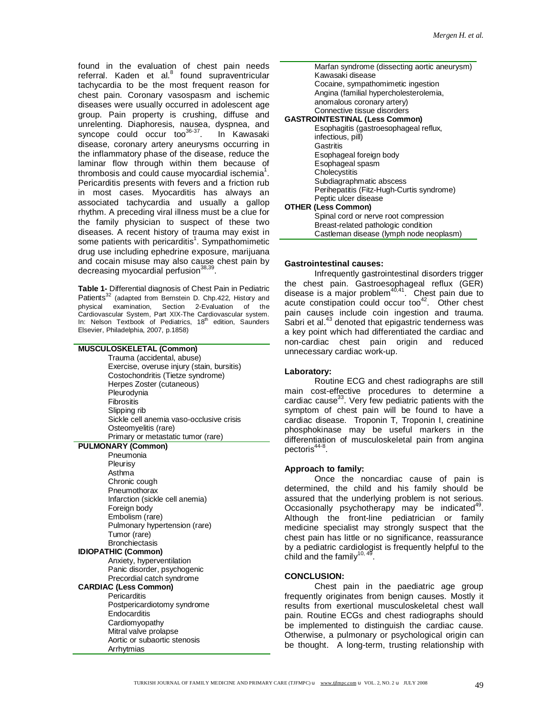found in the evaluation of chest pain needs referral. Kaden et al.<sup>8</sup> found supraventricular tachycardia to be the most frequent reason for chest pain. Coronary vasospasm and ischemic diseases were usually occurred in adolescent age group. Pain property is crushing, diffuse and unrelenting. Diaphoresis, nausea, dyspnea, and syncope could occur too<sup>36-37</sup>. In Kawasaki disease, coronary artery aneurysms occurring in the inflammatory phase of the disease, reduce the laminar flow through within them because of thrombosis and could cause myocardial ischemia $^1$ . Pericarditis presents with fevers and a friction rub in most cases. Myocarditis has always an associated tachycardia and usually a gallop rhythm. A preceding viral illness must be a clue for the family physician to suspect of these two diseases. A recent history of trauma may exist in some patients with pericarditis $1$ . Sympathomimetic drug use including ephedrine exposure, marijuana and cocain misuse may also cause chest pain by decreasing myocardial perfusion<sup>38,39</sup>.

**Table 1-** Differential diagnosis of Chest Pain in Pediatric Patients<sup>32</sup> (adapted from Bernstein D. Chp.422, History and physical examination, Section 2-Evaluation of the Cardiovascular System, Part XIX-The Cardiovascular system. In: Nelson Textbook of Pediatrics, 18<sup>th</sup> edition, Saunders Elsevier, Philadelphia, 2007, p.1858)

| <b>MUSCULOSKELETAL (Common)</b>            |
|--------------------------------------------|
| Trauma (accidental, abuse)                 |
| Exercise, overuse injury (stain, bursitis) |
| Costochondritis (Tietze syndrome)          |
| Herpes Zoster (cutaneous)                  |
| Pleurodynia                                |
| <b>Fibrositis</b>                          |
| Slipping rib                               |
| Sickle cell anemia vaso-occlusive crisis   |
| Osteomyelitis (rare)                       |
| Primary or metastatic tumor (rare)         |
| <b>PULMONARY (Common)</b>                  |
| Pneumonia                                  |
| Pleurisy                                   |
| Asthma                                     |
| Chronic cough                              |
| Pneumothorax                               |
| Infarction (sickle cell anemia)            |
| Foreign body                               |
| Embolism (rare)                            |
| Pulmonary hypertension (rare)              |
| Tumor (rare)                               |
| <b>Bronchiectasis</b>                      |
| <b>IDIOPATHIC (Common)</b>                 |
| Anxiety, hyperventilation                  |
| Panic disorder, psychogenic                |
| Precordial catch syndrome                  |
| <b>CARDIAC (Less Common)</b>               |
| Pericarditis                               |
| Postpericardiotomy syndrome                |
| Endocarditis                               |
| Cardiomyopathy                             |
| Mitral valve prolapse                      |
| Aortic or subaortic stenosis               |
| Arrhvtmias                                 |

| Marfan syndrome (dissecting aortic aneurysm) |
|----------------------------------------------|
| Kawasaki disease                             |
| Cocaine, sympathomimetic ingestion           |
| Angina (familial hypercholesterolemia,       |
| anomalous coronary artery)                   |
| Connective tissue disorders                  |
| <b>GASTROINTESTINAL (Less Common)</b>        |
| Esophagitis (gastroesophageal reflux,        |
| infectious, pill)                            |
| Gastritis                                    |
| Esophageal foreign body                      |
| Esophageal spasm                             |
| Cholecystitis                                |
| Subdiagraphmatic abscess                     |
| Perihepatitis (Fitz-Hugh-Curtis syndrome)    |
| Peptic ulcer disease                         |
| <b>OTHER (Less Common)</b>                   |
| Spinal cord or nerve root compression        |
| Breast-related pathologic condition          |
| Castleman disease (lymph node neoplasm)      |

## **Gastrointestinal causes:**

Infrequently gastrointestinal disorders trigger the chest pain. Gastroesophageal reflux (GER) disease is a major problem<sup>40,41</sup>. Chest pain due to acute constipation could occur too $42$ . Other chest pain causes include coin ingestion and trauma. Sabri et al.<sup>43</sup> denoted that epigastric tenderness was a key point which had differentiated the cardiac and non-cardiac chest pain origin and reduced unnecessary cardiac work-up.

# **Laboratory:**

Routine ECG and chest radiographs are still main cost-effective procedures to determine a cardiac cause<sup>33</sup>. Very few pediatric patients with the symptom of chest pain will be found to have a cardiac disease. Troponin T, Troponin I, creatinine phosphokinase may be useful markers in the differentiation of musculoskeletal pain from angina pectoris<sup>44-8</sup>.

# **Approach to family:**

Once the noncardiac cause of pain is determined, the child and his family should be assured that the underlying problem is not serious. Occasionally psychotherapy may be indicated<sup>49</sup>. Although the front-line pediatrician or family medicine specialist may strongly suspect that the chest pain has little or no significance, reassurance by a pediatric cardiologist is frequently helpful to the child and the family<sup>10, 4</sup> .

## **CONCLUSION:**

Chest pain in the paediatric age group frequently originates from benign causes. Mostly it results from exertional musculoskeletal chest wall pain. Routine ECGs and chest radiographs should be implemented to distinguish the cardiac cause. Otherwise, a pulmonary or psychological origin can be thought. A long-term, trusting relationship with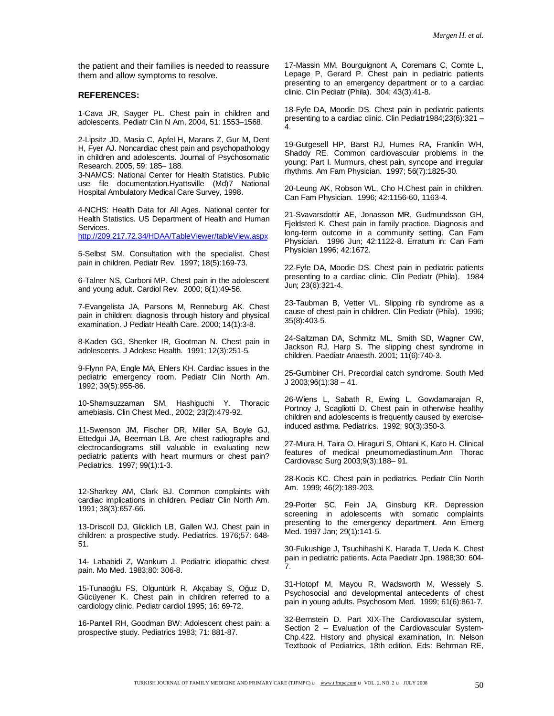the patient and their families is needed to reassure them and allow symptoms to resolve.

### **REFERENCES:**

1-Cava JR, Sayger PL. Chest pain in children and adolescents. Pediatr Clin N Am, 2004, 51: 1553–1568.

2-Lipsitz JD, Masia C, Apfel H, Marans Z, Gur M, Dent H, Fyer AJ. Noncardiac chest pain and psychopathology in children and adolescents. Journal of Psychosomatic Research, 2005, 59: 185– 188.

3-NAMCS: National Center for Health Statistics. Public use file documentation.Hyattsville (Md)7 National Hospital Ambulatory Medical Care Survey, 1998.

4-NCHS: Health Data for All Ages. National center for Health Statistics. US Department of Health and Human Services.

<http://209.217.72.34/HDAA/TableViewer/tableView.aspx>

5-Selbst SM. Consultation with the specialist. Chest pain in children. Pediatr Rev. 1997; 18(5):169-73.

6-Talner NS, Carboni MP. Chest pain in the adolescent and young adult. Cardiol Rev. 2000; 8(1):49-56.

7-Evangelista JA, Parsons M, Renneburg AK. Chest pain in children: diagnosis through history and physical examination. J Pediatr Health Care. 2000; 14(1):3-8.

8-Kaden GG, Shenker IR, Gootman N. Chest pain in adolescents. J Adolesc Health. 1991; 12(3):251-5.

9-Flynn PA, Engle MA, Ehlers KH. Cardiac issues in the pediatric emergency room. Pediatr Clin North Am. 1992; 39(5):955-86.

10-Shamsuzzaman SM, Hashiguchi Y. Thoracic amebiasis. Clin Chest Med., 2002; 23(2):479-92.

11-Swenson JM, Fischer DR, Miller SA, Boyle GJ, Ettedgui JA, Beerman LB. Are chest radiographs and electrocardiograms still valuable in evaluating new pediatric patients with heart murmurs or chest pain? Pediatrics. 1997; 99(1):1-3.

12-Sharkey AM, Clark BJ. Common complaints with cardiac implications in children. Pediatr Clin North Am. 1991; 38(3):657-66.

13-Driscoll DJ, Glicklich LB, Gallen WJ. Chest pain in children: a prospective study. Pediatrics. 1976;57: 648- 51.

14- Lababidi Z, Wankum J. Pediatric idiopathic chest pain. Mo Med. 1983;80: 306-8.

15-Tunaoğlu FS, Olguntürk R, Akçabay S, Oğuz D, Gücüyener K. Chest pain in children referred to a cardiology clinic. Pediatr cardiol 1995; 16: 69-72.

16-Pantell RH, Goodman BW: Adolescent chest pain: a prospective study. Pediatrics 1983; 71: 881-87.

17-Massin MM, Bourguignont A, Coremans C, Comte L, Lepage P, Gerard P. Chest pain in pediatric patients presenting to an emergency department or to a cardiac clinic. Clin Pediatr (Phila). 304; 43(3):41-8.

18-Fyfe DA, Moodie DS. Chest pain in pediatric patients presenting to a cardiac clinic. Clin Pediatr1984;23(6):321 – 4.

19-Gutgesell HP, Barst RJ, Humes RA, Franklin WH, Shaddy RE. Common cardiovascular problems in the young: Part I. Murmurs, chest pain, syncope and irregular rhythms. Am Fam Physician. 1997; 56(7):1825-30.

20-Leung AK, Robson WL, Cho H.Chest pain in children. Can Fam Physician. 1996; 42:1156-60, 1163-4.

21-Svavarsdottir AE, Jonasson MR, Gudmundsson GH, Fjeldsted K. Chest pain in family practice. Diagnosis and long-term outcome in a community setting. Can Fam Physician. 1996 Jun; 42:1122-8. Erratum in: Can Fam Physician 1996; 42:1672.

22-Fyfe DA, Moodie DS. Chest pain in pediatric patients presenting to a cardiac clinic. Clin Pediatr (Phila). 1984 Jun; 23(6):321-4.

23-Taubman B, Vetter VL. Slipping rib syndrome as a cause of chest pain in children. Clin Pediatr (Phila). 1996; 35(8):403-5.

24-Saltzman DA, Schmitz ML, Smith SD, Wagner CW, Jackson RJ, Harp S. The slipping chest syndrome in children. Paediatr Anaesth. 2001; 11(6):740-3.

25-Gumbiner CH. Precordial catch syndrome. South Med  $J 2003;96(1):38 - 41.$ 

26-Wiens L, Sabath R, Ewing L, Gowdamarajan R, Portnoy J, Scagliotti D. Chest pain in otherwise healthy children and adolescents is frequently caused by exerciseinduced asthma. Pediatrics. 1992; 90(3):350-3.

27-Miura H, Taira O, Hiraguri S, Ohtani K, Kato H. Clinical features of medical pneumomediastinum.Ann Thorac Cardiovasc Surg 2003;9(3):188– 91.

28-Kocis KC. Chest pain in pediatrics. Pediatr Clin North Am. 1999; 46(2):189-203.

29-Porter SC, Fein JA, Ginsburg KR. Depression screening in adolescents with somatic complaints presenting to the emergency department. Ann Emerg Med. 1997 Jan; 29(1):141-5.

30-Fukushige J, Tsuchihashi K, Harada T, Ueda K. Chest pain in pediatric patients. Acta Paediatr Jpn. 1988;30: 604- 7.

31-Hotopf M, Mayou R, Wadsworth M, Wessely S. Psychosocial and developmental antecedents of chest pain in young adults. Psychosom Med. 1999; 61(6):861-7.

32-Bernstein D. Part XIX-The Cardiovascular system, Section 2 – Evaluation of the Cardiovascular System-Chp.422. History and physical examination, In: Nelson Textbook of Pediatrics, 18th edition, Eds: Behrman RE,